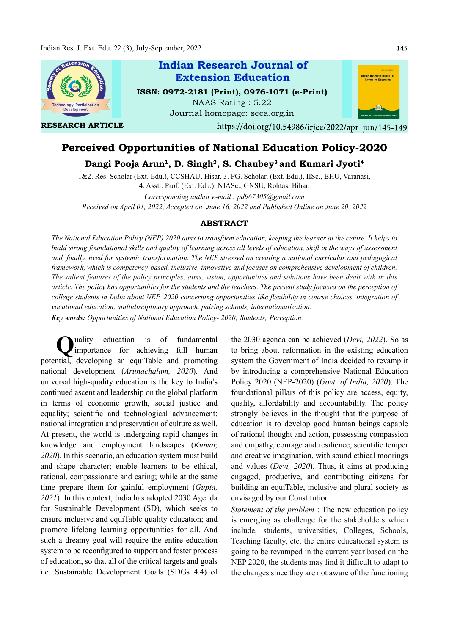

# Perceived Opportunities of National Education Policy-2020

Dangi Pooja Arun<sup>1</sup>, D. Singh<sup>2</sup>, S. Chaubey<sup>3</sup> and Kumari Jyoti<sup>4</sup>

1&2. Res. Scholar (Ext. Edu.), CCSHAU, Hisar. 3. PG. Scholar, (Ext. Edu.), IISc., BHU, Varanasi, 4. Asstt. Prof. (Ext. Edu.), NIASc., GNSU, Rohtas, Bihar.

Corresponding author e-mail : pd967305@gmail.com Received on April 01, 2022, Accepted on June 16, 2022 and Published Online on June 20, 2022

#### ABSTRACT

The National Education Policy (NEP) 2020 aims to transform education, keeping the learner at the centre. It helps to build strong foundational skills and quality of learning across all levels of education, shift in the ways of assessment and, finally, need for systemic transformation. The NEP stressed on creating a national curricular and pedagogical framework, which is competency-based, inclusive, innovative and focuses on comprehensive development of children. The salient features of the policy principles, aims, vision, opportunities and solutions have been dealt with in this article. The policy has opportunities for the students and the teachers. The present study focused on the perception of college students in India about NEP, 2020 concerning opportunities like flexibility in course choices, integration of vocational education, multidisciplinary approach, pairing schools, internationalization. Key words: Opportunities of National Education Policy- 2020; Students; Perception.

Quality education is of fundamental the 2030 agene<br>importance for achieving full human to bring about uality education is of fundamental potential, developing an equiTable and promoting national development (Arunachalam, 2020). And universal high-quality education is the key to India's continued ascent and leadership on the global platform in terms of economic growth, social justice and equality; scientific and technological advancement; national integration and preservation of culture as well. At present, the world is undergoing rapid changes in knowledge and employment landscapes (Kumar, 2020). In this scenario, an education system must build and shape character; enable learners to be ethical, rational, compassionate and caring; while at the same time prepare them for gainful employment (Gupta, 2021). In this context, India has adopted 2030 Agenda for Sustainable Development (SD), which seeks to ensure inclusive and equiTable quality education; and promote lifelong learning opportunities for all. And such a dreamy goal will require the entire education system to be reconfigured to support and foster process of education, so that all of the critical targets and goals i.e. Sustainable Development Goals (SDGs 4.4) of

the 2030 agenda can be achieved (Devi, 2022). So as to bring about reformation in the existing education system the Government of India decided to revamp it by introducing a comprehensive National Education Policy 2020 (NEP-2020) (Govt. of India, 2020). The foundational pillars of this policy are access, equity, quality, affordability and accountability. The policy strongly believes in the thought that the purpose of education is to develop good human beings capable of rational thought and action, possessing compassion and empathy, courage and resilience, scientific temper and creative imagination, with sound ethical moorings and values (Devi, 2020). Thus, it aims at producing engaged, productive, and contributing citizens for building an equiTable, inclusive and plural society as envisaged by our Constitution.

Statement of the problem : The new education policy is emerging as challenge for the stakeholders which include, students, universities, Colleges, Schools, Teaching faculty, etc. the entire educational system is going to be revamped in the current year based on the NEP 2020, the students may find it difficult to adapt to the changes since they are not aware of the functioning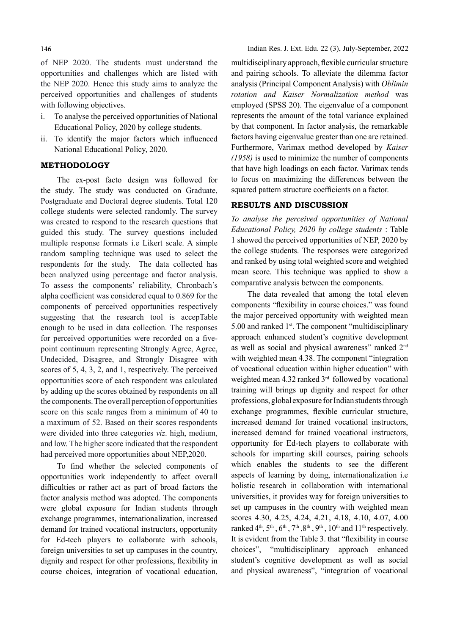of NEP 2020. The students must understand the opportunities and challenges which are listed with the NEP 2020. Hence this study aims to analyze the perceived opportunities and challenges of students with following objectives.

- i. To analyse the perceived opportunities of National Educational Policy, 2020 by college students.
- ii. To identify the major factors which influenced National Educational Policy, 2020.

#### METHODOLOGY

The ex-post facto design was followed for the study. The study was conducted on Graduate, Postgraduate and Doctoral degree students. Total 120 college students were selected randomly. The survey was created to respond to the research questions that guided this study. The survey questions included multiple response formats i.e Likert scale. A simple random sampling technique was used to select the respondents for the study. The data collected has been analyzed using percentage and factor analysis. To assess the components' reliability, Chronbach's alpha coefficient was considered equal to 0.869 for the components of perceived opportunities respectively suggesting that the research tool is accepTable enough to be used in data collection. The responses for perceived opportunities were recorded on a fivepoint continuum representing Strongly Agree, Agree, Undecided, Disagree, and Strongly Disagree with scores of 5, 4, 3, 2, and 1, respectively. The perceived opportunities score of each respondent was calculated by adding up the scores obtained by respondents on all the components. The overall perception of opportunities score on this scale ranges from a minimum of 40 to a maximum of 52. Based on their scores respondents were divided into three categories viz. high, medium, and low. The higher score indicated that the respondent had perceived more opportunities about NEP,2020.

To find whether the selected components of opportunities work independently to affect overall difficulties or rather act as part of broad factors the factor analysis method was adopted. The components were global exposure for Indian students through exchange programmes, internationalization, increased demand for trained vocational instructors, opportunity for Ed-tech players to collaborate with schools, foreign universities to set up campuses in the country, dignity and respect for other professions, flexibility in course choices, integration of vocational education,

Indian Res. J. Ext. Edu. 22 (3), July-September, 2022

multidisciplinary approach, flexible curricular structure and pairing schools. To alleviate the dilemma factor analysis (Principal Component Analysis) with Oblimin rotation and Kaiser Normalization method was employed (SPSS 20). The eigenvalue of a component represents the amount of the total variance explained by that component. In factor analysis, the remarkable factors having eigenvalue greater than one are retained. Furthermore, Varimax method developed by Kaiser (1958) is used to minimize the number of components that have high loadings on each factor. Varimax tends to focus on maximizing the differences between the squared pattern structure coefficients on a factor.

# RESULTS AND DISCUSSION

To analyse the perceived opportunities of National Educational Policy, 2020 by college students : Table 1 showed the perceived opportunities of NEP, 2020 by the college students. The responses were categorized and ranked by using total weighted score and weighted mean score. This technique was applied to show a comparative analysis between the components.

The data revealed that among the total eleven components "flexibility in course choices." was found the major perceived opportunity with weighted mean 5.00 and ranked  $1<sup>st</sup>$ . The component "multidisciplinary" approach enhanced student's cognitive development as well as social and physical awareness" ranked 2nd with weighted mean 4.38. The component "integration" of vocational education within higher education" with weighted mean 4.32 ranked 3rd followed by vocational training will brings up dignity and respect for other professions, global exposure for Indian students through exchange programmes, flexible curricular structure, increased demand for trained vocational instructors, increased demand for trained vocational instructors, opportunity for Ed-tech players to collaborate with schools for imparting skill courses, pairing schools which enables the students to see the different aspects of learning by doing, internationalization i.e holistic research in collaboration with international universities, it provides way for foreign universities to set up campuses in the country with weighted mean scores 4.30, 4.25, 4.24, 4.21, 4.18, 4.10, 4.07, 4.00 ranked  $4<sup>th</sup>$ ,  $5<sup>th</sup>$ ,  $6<sup>th</sup>$ ,  $7<sup>th</sup>$ ,  $8<sup>th</sup>$ ,  $9<sup>th</sup>$ ,  $10<sup>th</sup>$  and  $11<sup>th</sup>$  respectively. It is evident from the Table 3. that "flexibility in course choices", "multidisciplinary approach enhanced student's cognitive development as well as social and physical awareness", "integration of vocational

146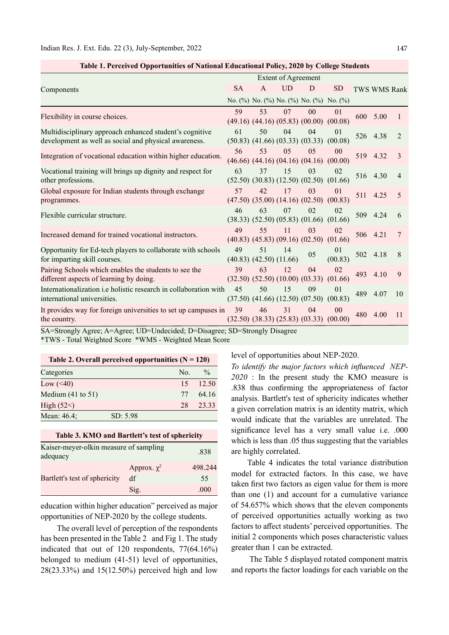| <b>Extent of Agreement</b> |                                                                                                                                            |           |                |                                                                          |                                                                                                                                                                                                                                                                          |                                                                                                                                                                                                        |                                                                  |
|----------------------------|--------------------------------------------------------------------------------------------------------------------------------------------|-----------|----------------|--------------------------------------------------------------------------|--------------------------------------------------------------------------------------------------------------------------------------------------------------------------------------------------------------------------------------------------------------------------|--------------------------------------------------------------------------------------------------------------------------------------------------------------------------------------------------------|------------------------------------------------------------------|
| <b>SA</b>                  | $\mathsf{A}$                                                                                                                               | <b>UD</b> | D              | <b>SD</b>                                                                |                                                                                                                                                                                                                                                                          |                                                                                                                                                                                                        |                                                                  |
|                            |                                                                                                                                            |           |                |                                                                          |                                                                                                                                                                                                                                                                          |                                                                                                                                                                                                        |                                                                  |
| 59                         | 53                                                                                                                                         | 07        | 0 <sub>0</sub> | 01                                                                       | 600                                                                                                                                                                                                                                                                      | 5.00                                                                                                                                                                                                   |                                                                  |
| 61                         | 50                                                                                                                                         | 04        | 04             | 01<br>(00.08)                                                            |                                                                                                                                                                                                                                                                          |                                                                                                                                                                                                        | 2                                                                |
| 56                         | 53                                                                                                                                         | 05        | 05             | 00<br>(00.00)                                                            | 519                                                                                                                                                                                                                                                                      |                                                                                                                                                                                                        | 3                                                                |
| 63                         | 37                                                                                                                                         | 15        | 0 <sup>3</sup> | 02<br>(01.66)                                                            |                                                                                                                                                                                                                                                                          |                                                                                                                                                                                                        | 4                                                                |
| 57                         | 42.                                                                                                                                        | 17        | 03             | 01                                                                       | 511                                                                                                                                                                                                                                                                      | 4.25                                                                                                                                                                                                   | 5                                                                |
| 46                         | 63                                                                                                                                         | 07        | 02             | 02                                                                       | 509                                                                                                                                                                                                                                                                      | 4.24                                                                                                                                                                                                   | 6                                                                |
| 49                         | 55                                                                                                                                         | 11        | 03             | 02                                                                       |                                                                                                                                                                                                                                                                          |                                                                                                                                                                                                        | 7                                                                |
| 49                         | 51                                                                                                                                         | 14        | 05             | 01<br>(00.83)                                                            | 502                                                                                                                                                                                                                                                                      | 4.18                                                                                                                                                                                                   | 8                                                                |
| 39                         | 63                                                                                                                                         | 12        | 04             | 02<br>(01.66)                                                            | 493                                                                                                                                                                                                                                                                      | 4.10                                                                                                                                                                                                   | 9                                                                |
| 45                         | 50                                                                                                                                         | 15        | 09             | 01<br>(00.83)                                                            | 489                                                                                                                                                                                                                                                                      | 4.07                                                                                                                                                                                                   | 10                                                               |
| 39                         | 46                                                                                                                                         | 31        | 04             | 00<br>(00.00)                                                            | 480                                                                                                                                                                                                                                                                      |                                                                                                                                                                                                        | 11                                                               |
|                            | Internationalization <i>i.e.</i> holistic research in collaboration with<br>It provides way for foreign universities to set up campuses in |           |                | $(40.83)$ $(42.50)$ $(11.66)$<br>$(37.50)$ $(41.66)$ $(12.50)$ $(07.50)$ | $(50.83)$ $(41.66)$ $(03.33)$ $(03.33)$<br>$(46.66)$ $(44.16)$ $(04.16)$ $(04.16)$<br>$(52.50)$ $(30.83)$ $(12.50)$ $(02.50)$<br>$(47.50)$ $(35.00)$ $(14.16)$ $(02.50)$ $(00.83)$<br>$(32.50)$ $(52.50)$ $(10.00)$ $(03.33)$<br>$(32.50)$ $(38.33)$ $(25.83)$ $(03.33)$ | No. (%) No. (%) No. (%) No. (%) No. (%)<br>$(49.16)$ $(44.16)$ $(05.83)$ $(00.00)$ $(00.08)$<br>$(38.33)$ $(52.50)$ $(05.83)$ $(01.66)$ $(01.66)$<br>$(40.83)$ $(45.83)$ $(09.16)$ $(02.50)$ $(01.66)$ | TWS WMS Rank<br>526 4.38<br>4.32<br>516 4.30<br>506 4.21<br>4.00 |

| Table 1. Perceived Opportunities of National Educational Policy, 2020 by College Students |  |  |
|-------------------------------------------------------------------------------------------|--|--|
|                                                                                           |  |  |

\*TWS - Total Weighted Score \*WMS - Weighted Mean Score

| Table 2. Overall perceived opportunities $(N = 120)$ |          |     |               |  |  |  |
|------------------------------------------------------|----------|-----|---------------|--|--|--|
| Categories                                           |          | No. | $\frac{0}{0}$ |  |  |  |
| Low $(\leq 40)$                                      |          | 15  | 12.50         |  |  |  |
| Medium $(41$ to $51)$                                |          | 77  | 64.16         |  |  |  |
| High $(52<)$                                         |          | 28  | 23.33         |  |  |  |
| Mean: 46.4;                                          | SD: 5.98 |     |               |  |  |  |

| Table 3. KMO and Bartlett's test of sphericity     |                  |         |  |  |  |
|----------------------------------------------------|------------------|---------|--|--|--|
| Kaiser-meyer-olkin measure of sampling<br>adequacy |                  | .838    |  |  |  |
|                                                    | Approx. $\chi^2$ | 498.244 |  |  |  |
| Bartlett's test of sphericity                      | df               | 55      |  |  |  |
|                                                    | Sig.             | .000    |  |  |  |

education within higher education" perceived as major opportunities of NEP-2020 by the college students.

The overall level of perception of the respondents has been presented in the Table 2 and Fig 1. The study indicated that out of 120 respondents, 77(64.16%) belonged to medium (41-51) level of opportunities, 28(23.33%) and 15(12.50%) perceived high and low level of opportunities about NEP-2020.

To identify the major factors which influenced NEP-2020 : In the present study the KMO measure is .838 thus confirming the appropriateness of factor analysis. Bartlett's test of sphericity indicates whether a given correlation matrix is an identity matrix, which would indicate that the variables are unrelated. The significance level has a very small value i.e. .000 which is less than .05 thus suggesting that the variables are highly correlated.

Table 4 indicates the total variance distribution model for extracted factors. In this case, we have taken first two factors as eigen value for them is more than one (1) and account for a cumulative variance of 54.657% which shows that the eleven components of perceived opportunities actually working as two factors to affect students' perceived opportunities. The initial 2 components which poses characteristic values greater than 1 can be extracted.

 The Table 5 displayed rotated component matrix and reports the factor loadings for each variable on the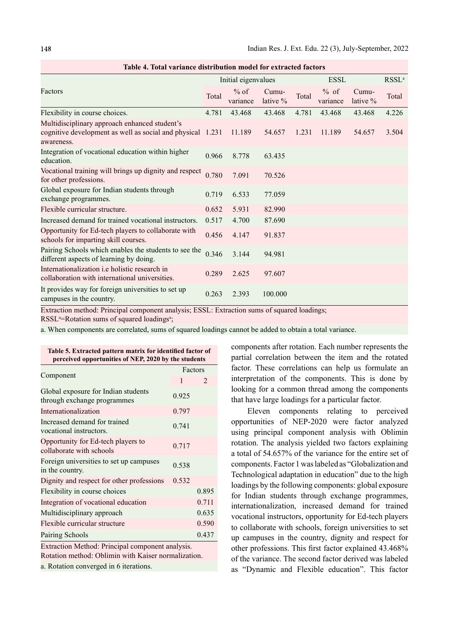|                                                                                                                     |       | Initial eigenvalues |                   |       | <b>ESSL</b>        |                     | RSSL <sup>a</sup> |
|---------------------------------------------------------------------------------------------------------------------|-------|---------------------|-------------------|-------|--------------------|---------------------|-------------------|
| Factors                                                                                                             | Total | $%$ of<br>variance  | Cumu-<br>lative % | Total | $%$ of<br>variance | Cumu-<br>lative $%$ | Total             |
| Flexibility in course choices.                                                                                      | 4.781 | 43.468              | 43.468            | 4.781 | 43.468             | 43.468              | 4.226             |
| Multidisciplinary approach enhanced student's<br>cognitive development as well as social and physical<br>awareness. | 1.231 | 11.189              | 54.657            | 1.231 | 11.189             | 54.657              | 3.504             |
| Integration of vocational education within higher<br>education.                                                     | 0.966 | 8.778               | 63.435            |       |                    |                     |                   |
| Vocational training will brings up dignity and respect<br>for other professions.                                    | 0.780 | 7.091               | 70.526            |       |                    |                     |                   |
| Global exposure for Indian students through<br>exchange programmes.                                                 | 0.719 | 6.533               | 77.059            |       |                    |                     |                   |
| Flexible curricular structure.                                                                                      | 0.652 | 5.931               | 82.990            |       |                    |                     |                   |
| Increased demand for trained vocational instructors.                                                                | 0.517 | 4.700               | 87.690            |       |                    |                     |                   |
| Opportunity for Ed-tech players to collaborate with<br>schools for imparting skill courses.                         | 0.456 | 4.147               | 91.837            |       |                    |                     |                   |
| Pairing Schools which enables the students to see the<br>different aspects of learning by doing.                    | 0.346 | 3.144               | 94.981            |       |                    |                     |                   |
| Internationalization <i>i.e</i> holistic research in<br>collaboration with international universities.              | 0.289 | 2.625               | 97.607            |       |                    |                     |                   |
| It provides way for foreign universities to set up<br>campuses in the country.                                      | 0.263 | 2.393               | 100.000           |       |                    |                     |                   |

Table 4. Total variance distribution model for extracted factors

Extraction method: Principal component analysis; ESSL: Extraction sums of squared loadings;

RSSL<sup>a</sup>=Rotation sums of squared loadings<sup>a</sup>;

a. When components are correlated, sums of squared loadings cannot be added to obtain a total variance.

| Table 5. Extracted pattern matrix for identified factor of<br>perceived opportunities of NEP, 2020 by the students                                                                                                                                                                                                                                                      |       |                |  |  |  |
|-------------------------------------------------------------------------------------------------------------------------------------------------------------------------------------------------------------------------------------------------------------------------------------------------------------------------------------------------------------------------|-------|----------------|--|--|--|
|                                                                                                                                                                                                                                                                                                                                                                         |       | Factors        |  |  |  |
| Component                                                                                                                                                                                                                                                                                                                                                               | 1     | $\mathfrak{D}$ |  |  |  |
| Global exposure for Indian students<br>through exchange programmes                                                                                                                                                                                                                                                                                                      | 0.925 |                |  |  |  |
| Internationalization                                                                                                                                                                                                                                                                                                                                                    | 0.797 |                |  |  |  |
| Increased demand for trained<br>vocational instructors.                                                                                                                                                                                                                                                                                                                 | 0.741 |                |  |  |  |
| Opportunity for Ed-tech players to<br>collaborate with schools                                                                                                                                                                                                                                                                                                          | 0.717 |                |  |  |  |
| Foreign universities to set up campuses<br>in the country.                                                                                                                                                                                                                                                                                                              | 0.538 |                |  |  |  |
| Dignity and respect for other professions                                                                                                                                                                                                                                                                                                                               | 0.532 |                |  |  |  |
| Flexibility in course choices                                                                                                                                                                                                                                                                                                                                           |       | 0.895          |  |  |  |
| Integration of vocational education                                                                                                                                                                                                                                                                                                                                     |       | 0.711          |  |  |  |
| Multidisciplinary approach                                                                                                                                                                                                                                                                                                                                              |       | 0.635          |  |  |  |
| Flexible curricular structure                                                                                                                                                                                                                                                                                                                                           |       | 0.590          |  |  |  |
| Pairing Schools                                                                                                                                                                                                                                                                                                                                                         |       | 0.437          |  |  |  |
| Extraction Method: Principal component analysis.<br>$\frac{1}{2}$ $\frac{1}{2}$ $\frac{1}{2}$ $\frac{1}{2}$ $\frac{1}{2}$ $\frac{1}{2}$ $\frac{1}{2}$ $\frac{1}{2}$ $\frac{1}{2}$ $\frac{1}{2}$ $\frac{1}{2}$ $\frac{1}{2}$ $\frac{1}{2}$ $\frac{1}{2}$ $\frac{1}{2}$ $\frac{1}{2}$ $\frac{1}{2}$ $\frac{1}{2}$ $\frac{1}{2}$ $\frac{1}{2}$ $\frac{1}{2}$ $\frac{1}{2}$ |       |                |  |  |  |

Rotation method: Oblimin with Kaiser normalization. a. Rotation converged in 6 iterations.

components after rotation. Each number represents the partial correlation between the item and the rotated factor. These correlations can help us formulate an interpretation of the components. This is done by looking for a common thread among the components that have large loadings for a particular factor.

Eleven components relating to perceived opportunities of NEP-2020 were factor analyzed using principal component analysis with Oblimin rotation. The analysis yielded two factors explaining a total of 54.657% of the variance for the entire set of components. Factor 1 was labeled as "Globalization and Technological adaptation in education" due to the high loadings by the following components: global exposure for Indian students through exchange programmes, internationalization, increased demand for trained vocational instructors, opportunity for Ed-tech players to collaborate with schools, foreign universities to set up campuses in the country, dignity and respect for other professions. This first factor explained 43.468% of the variance. The second factor derived was labeled as "Dynamic and Flexible education". This factor